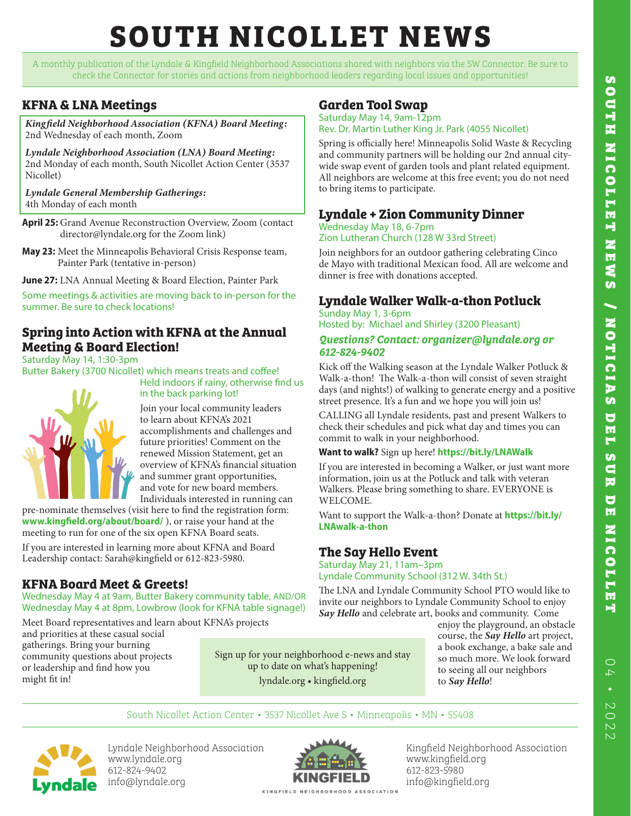# **SOUTH NICOLLET NEWS**

A monthly publication of the Lyndale & Kingfield Neighborhood Associations shared with neighbors via the SW Connector. Be sure to check the Connector for stories and actions from neighborhood leaders regarding local issues and opportunities!

### **KFNA & LNA Meetings**

*Kingfield Neighborhood Association (KFNA) Board Meeting:*  2nd Wednesday of each month, Zoom

*Lyndale Neighborhood Association (LNA) Board Meeting:* 2nd Monday of each month, South Nicollet Action Center (3537 Nicollet)

*Lyndale General Membership Gatherings:* 4th Monday of each month

- **April 25:** Grand Avenue Reconstruction Overview, Zoom (contact director@lyndale.org for the Zoom link)
- **May 23:** Meet the Minneapolis Behavioral Crisis Response team, Painter Park (tentative in-person)

**June 27:** LNA Annual Meeting & Board Election, Painter Park

Some meetings & activities are moving back to in-person for the summer. Be sure to check locations!

### **Spring into Action with KFNA at the Annual Meeting & Board Election!**

Saturday May 14, 1:30-3pm

Butter Bakery (3700 Nicollet) which means treats and coffee! Held indoors if rainy, otherwise find us



## in the back parking lot!

Join your local community leaders to learn about KFNA's 2021 accomplishments and challenges and future priorities! Comment on the renewed Mission Statement, get an overview of KFNA's financial situation and summer grant opportunities, and vote for new board members. Individuals interested in running can

pre-nominate themselves (visit here to find the registration form: **www.kingfield.org/about/board/** ), or raise your hand at the meeting to run for one of the six open KFNA Board seats. If you are interested in learning more about KFNA and Board Leadership contact: Sarah@kingfield or 612-823-5980.

### **KFNA Board Meet & Greets!**

Wednesday May 4 at 9am, Butter Bakery community table, AND/OR Wednesday May 4 at 8pm, Lowbrow (look for KFNA table signage!)

Meet Board representatives and learn about KFNA's projects and priorities at these casual social gatherings. Bring your burning community questions about projects or leadership and find how you might fit in!

### Sign up for your neighborhood e-news and stay up to date on what's happening! lyndale.org • kingfield.org

enjoy the playground, an obstacle course, the *Say Hello* art project, a book exchange, a bake sale and so much more. We look forward to seeing all our neighbors to *Say Hello*!

South Nicollet Action Center • 3537 Nicollet Ave S • Minneapolis • MN • 55408



Lyndale Neighborhood Association www.lyndale.org 612-824-9402 info@lyndale.org



Kingfield Neighborhood Association www.kingfield.org 612-823-5980 info@kingfield.org

### **Garden Tool Swap**

Saturday May 14, 9am-12pm Rev. Dr. Martin Luther King Jr. Park (4055 Nicollet)

Spring is officially here! Minneapolis Solid Waste & Recycling and community partners will be holding our 2nd annual citywide swap event of garden tools and plant related equipment. All neighbors are welcome at this free event; you do not need to bring items to participate.

### **Lyndale + Zion Community Dinner**

### Wednesday May 18, 6-7pm Zion Lutheran Church (128 W 33rd Street)

Join neighbors for an outdoor gathering celebrating Cinco de Mayo with traditional Mexican food. All are welcome and dinner is free with donations accepted.

### **Lyndale Walker Walk-a-thon Potluck**

Sunday May 1, 3-6pm Hosted by: Michael and Shirley (3200 Pleasant)

### *Questions? Contact: organizer@lyndale.org or 612-824-9402*

Kick off the Walking season at the Lyndale Walker Potluck & Walk-a-thon! The Walk-a-thon will consist of seven straight days (and nights!) of walking to generate energy and a positive street presence. It's a fun and we hope you will join us!

CALLING all Lyndale residents, past and present Walkers to check their schedules and pick what day and times you can commit to walk in your neighborhood.

### **Want to walk?** Sign up here! **https://bit.ly/LNAWalk**

If you are interested in becoming a Walker, or just want more information, join us at the Potluck and talk with veteran Walkers. Please bring something to share. EVERYONE is WELCOME.

Want to support the Walk-a-thon? Donate at **https://bit.ly/ LNAwalk-a-thon**

### **The Say Hello Event**

Saturday May 21, 11am–3pm Lyndale Community School (312 W. 34th St.)

The LNA and Lyndale Community School PTO would like to invite our neighbors to Lyndale Community School to enjoy *Say Hello* and celebrate art, books and community. Come

04 • 2022

 $\circ$  $\overline{\wedge}$  $\bullet$  $\overline{\mathcal{N}}$  $\overline{0}$  $\overline{\mathsf{C}}$